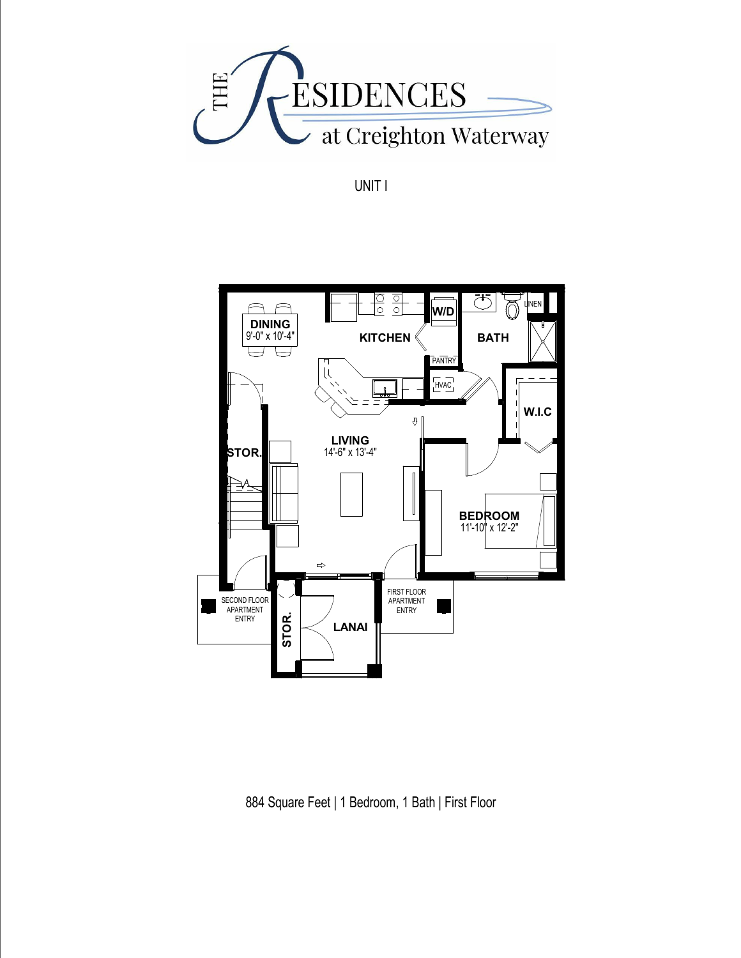

UNIT I



884 Square Feet | 1 Bedroom, 1 Bath | First Floor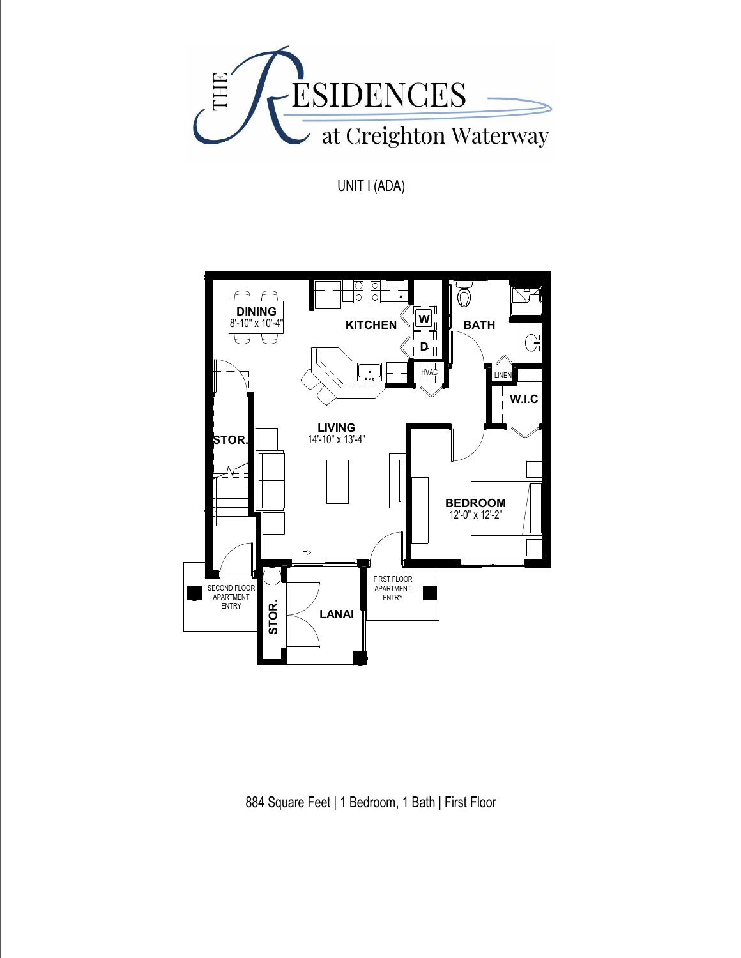

UNIT I (ADA)



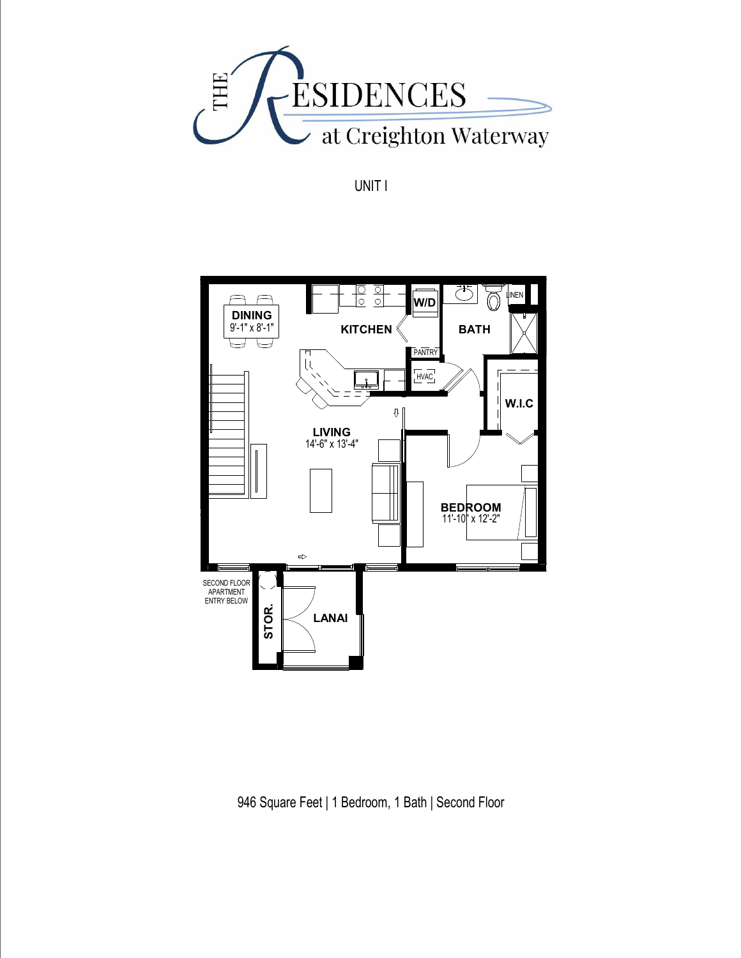

UNIT I



946 Square Feet | 1 Bedroom, 1 Bath | Second Floor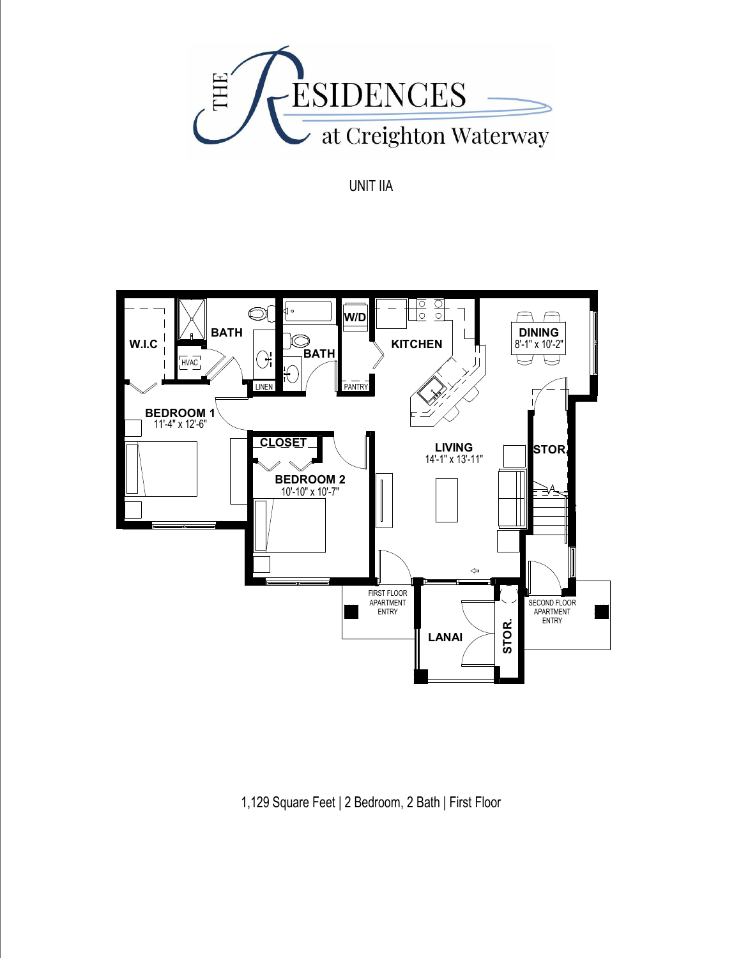

UNIT IIA



1,129 Square Feet | 2 Bedroom, 2 Bath | First Floor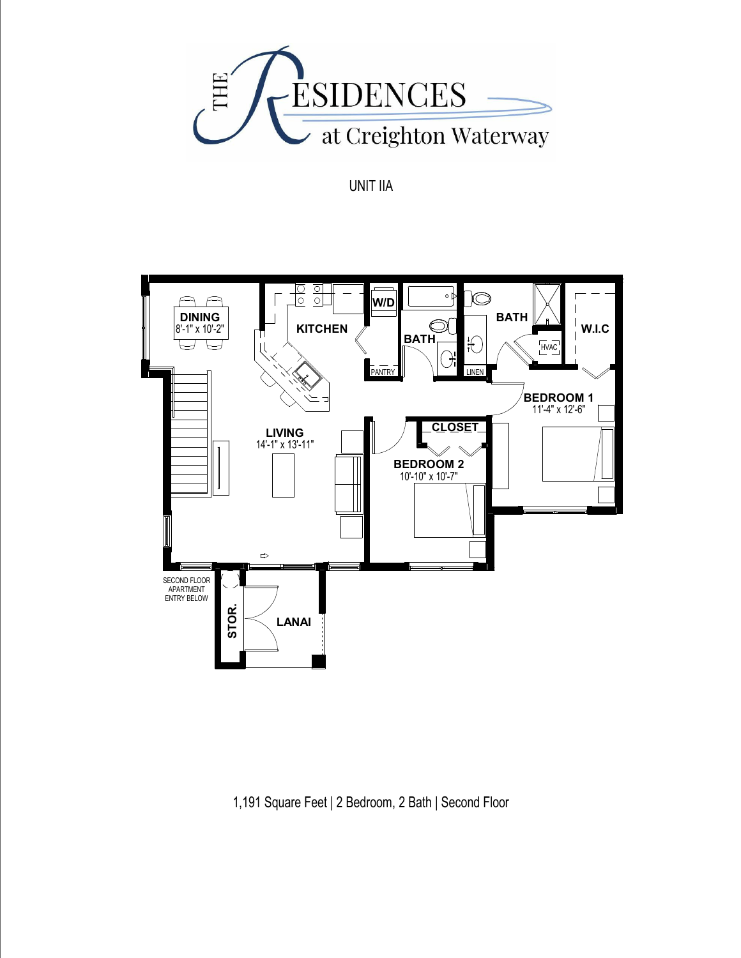

UNIT IIA



1,191 Square Feet | 2 Bedroom, 2 Bath | Second Floor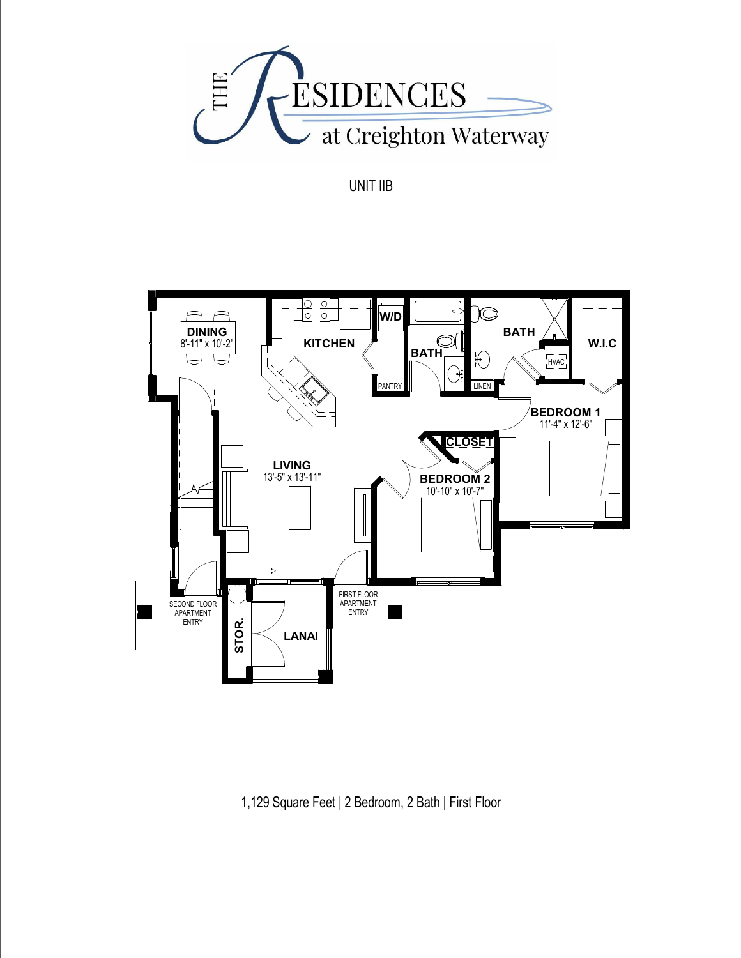

UNIT IIB



1,129 Square Feet | 2 Bedroom, 2 Bath | First Floor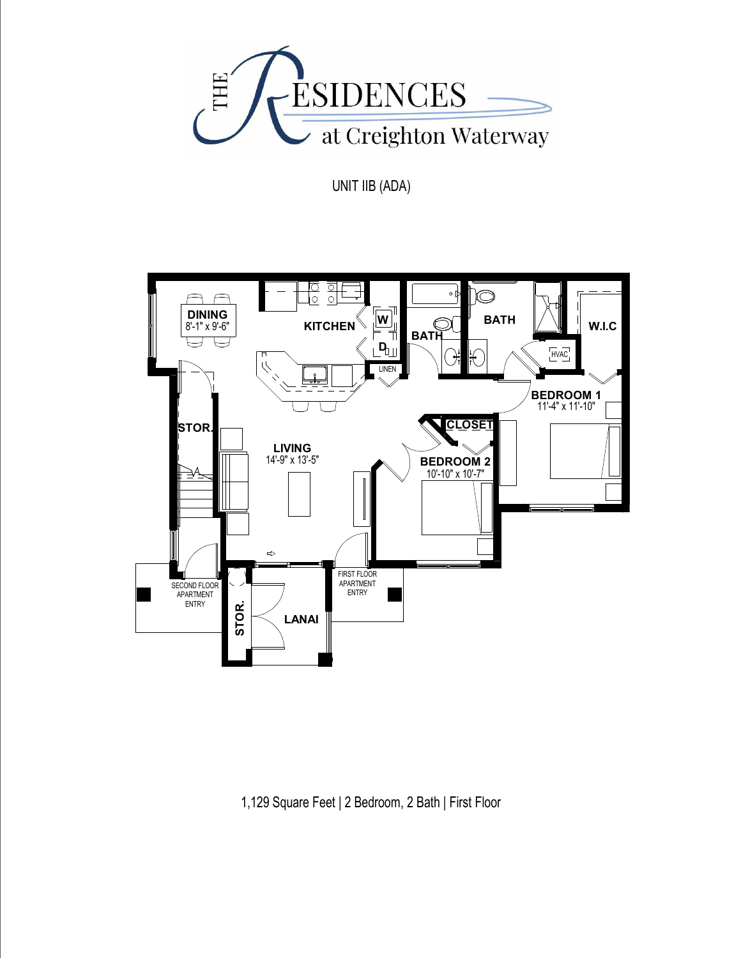

UNIT IIB (ADA)



1,129 Square Feet | 2 Bedroom, 2 Bath | First Floor